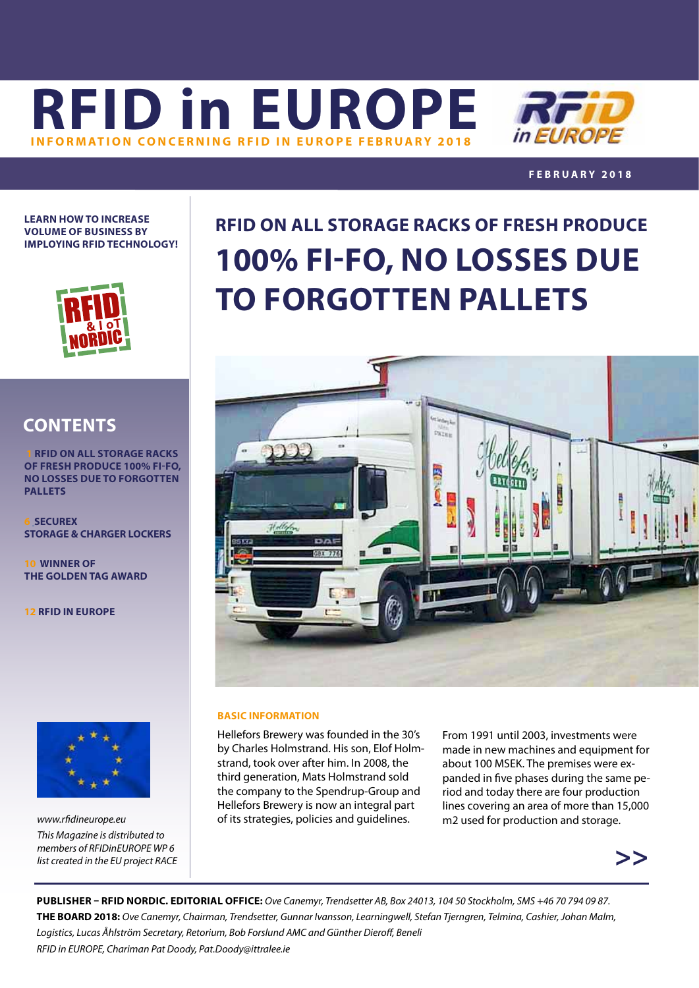



## **FEBRUARY 2018**

**LEARN HOW TO INCREASE VOLUME OF BUSINESS BY IMPLOYING RFID TECHNOLOGY!**



# **CONTENTS**

 **1 RFID ON ALL STORAGE RACKS OF FRESH PRODUCE 100% FI-FO, NO LOSSES DUE TO FORGOTTEN PALLETS**

**6 SECUREX STORAGE & CHARGER LOCKERS**

**10WINNER OF THE GOLDEN TAG AWARD**

**12 [R](#page-11-0)FID IN EUROPE**



*[www.rfidineurope.eu](http://www.rfidineurope.eu) This Magazine is distributed to members of RFIDinEUROPE WP 6 list created in the EU project RACE*

# **RFID ON ALL STORAGE RACKS OF FRESH PRODUCE 100% FI-FO, NO LOSSES DUE TO FORGOTTEN PALLETS**



### **BASIC INFORMATION**

Hellefors Brewery was founded in the 30's by Charles Holmstrand. His son, Elof Holmstrand, took over after him. In 2008, the third generation, Mats Holmstrand sold the company to the Spendrup-Group and Hellefors Brewery is now an integral part of its strategies, policies and guidelines.

From 1991 until 2003, investments were made in new machines and equipment for about 100 MSEK. The premises were expanded in five phases during the same period and today there are four production lines covering an area of more than 15,000 m2 used for production and storage.



**PUBLISHER – RFID NORDIC. EDITORIAL OFFICE:** *Ove Canemyr, Trendsetter AB, Box 24013, 104 50 Stockholm, SMS +46 70 794 09 87.*  **THE BOARD 2018:** *Ove Canemyr, Chairman, Trendsetter, Gunnar Ivansson, Learningwell, Stefan Tjerngren, Telmina, Cashier, Johan Malm, Logistics, Lucas Åhlström Secretary, Retorium, Bob Forslund AMC and Günther Dieroff, Beneli RFID in EUROPE, Chariman Pat Doody, [Pat.Doody@ittralee.ie](mailto:pat.doody@ittralee.ie )*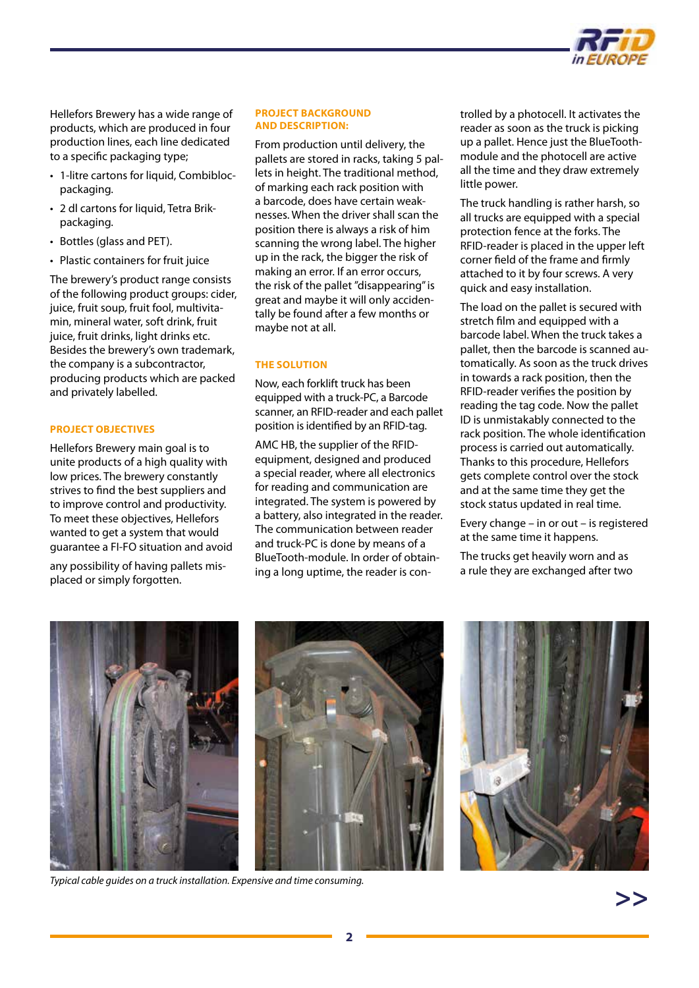

Hellefors Brewery has a wide range of products, which are produced in four production lines, each line dedicated to a specific packaging type;

- 1-litre cartons for liquid, Combiblocpackaging.
- 2 dl cartons for liquid, Tetra Brikpackaging.
- Bottles (glass and PET).
- Plastic containers for fruit juice

The brewery's product range consists of the following product groups: cider, juice, fruit soup, fruit fool, multivitamin, mineral water, soft drink, fruit juice, fruit drinks, light drinks etc. Besides the brewery's own trademark, the company is a subcontractor, producing products which are packed and privately labelled.

### **PROJECT OBJECTIVES**

Hellefors Brewery main goal is to unite products of a high quality with low prices. The brewery constantly strives to find the best suppliers and to improve control and productivity. To meet these objectives, Hellefors wanted to get a system that would guarantee a FI-FO situation and avoid

any possibility of having pallets misplaced or simply forgotten.

#### **PROJECT BACKGROUND AND DESCRIPTION:**

From production until delivery, the pallets are stored in racks, taking 5 pallets in height. The traditional method, of marking each rack position with a barcode, does have certain weaknesses. When the driver shall scan the position there is always a risk of him scanning the wrong label. The higher up in the rack, the bigger the risk of making an error. If an error occurs, the risk of the pallet "disappearing" is great and maybe it will only accidentally be found after a few months or maybe not at all.

#### **THE SOLUTION**

Now, each forklift truck has been equipped with a truck-PC, a Barcode scanner, an RFID-reader and each pallet position is identified by an RFID-tag.

AMC HB, the supplier of the RFIDequipment, designed and produced a special reader, where all electronics for reading and communication are integrated. The system is powered by a battery, also integrated in the reader. The communication between reader and truck-PC is done by means of a BlueTooth-module. In order of obtaining a long uptime, the reader is controlled by a photocell. It activates the reader as soon as the truck is picking up a pallet. Hence just the BlueToothmodule and the photocell are active all the time and they draw extremely little power.

The truck handling is rather harsh, so all trucks are equipped with a special protection fence at the forks. The RFID-reader is placed in the upper left corner field of the frame and firmly attached to it by four screws. A very quick and easy installation.

The load on the pallet is secured with stretch film and equipped with a barcode label. When the truck takes a pallet, then the barcode is scanned automatically. As soon as the truck drives in towards a rack position, then the RFID-reader verifies the position by reading the tag code. Now the pallet ID is unmistakably connected to the rack position. The whole identification process is carried out automatically. Thanks to this procedure, Hellefors gets complete control over the stock and at the same time they get the stock status updated in real time.

Every change – in or out – is registered at the same time it happens.

The trucks get heavily worn and as a rule they are exchanged after two



*Typical cable guides on a truck installation. Expensive and time consuming.*

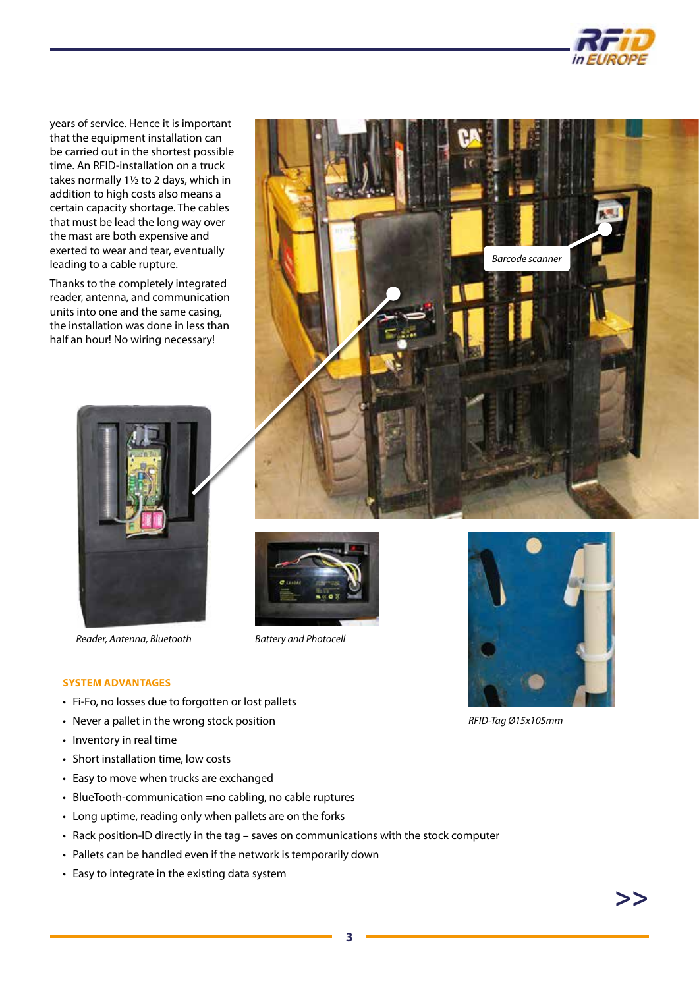

years of service. Hence it is important that the equipment installation can be carried out in the shortest possible time. An RFID-installation on a truck takes normally 1½ to 2 days, which in addition to high costs also means a certain capacity shortage. The cables that must be lead the long way over the mast are both expensive and exerted to wear and tear, eventually leading to a cable rupture.

Thanks to the completely integrated reader, antenna, and communication units into one and the same casing, the installation was done in less than half an hour! No wiring necessary!



*Reader, Antenna, Bluetooth Battery and Photocell*







*RFID-Tag Ø15x105mm*

#### **SYSTEM ADVANTAGES**

- Fi-Fo, no losses due to forgotten or lost pallets
- Never a pallet in the wrong stock position
- Inventory in real time
- Short installation time, low costs
- Easy to move when trucks are exchanged
- BlueTooth-communication =no cabling, no cable ruptures
- Long uptime, reading only when pallets are on the forks
- Rack position-ID directly in the tag saves on communications with the stock computer
- Pallets can be handled even if the network is temporarily down
- Easy to integrate in the existing data system

**>>**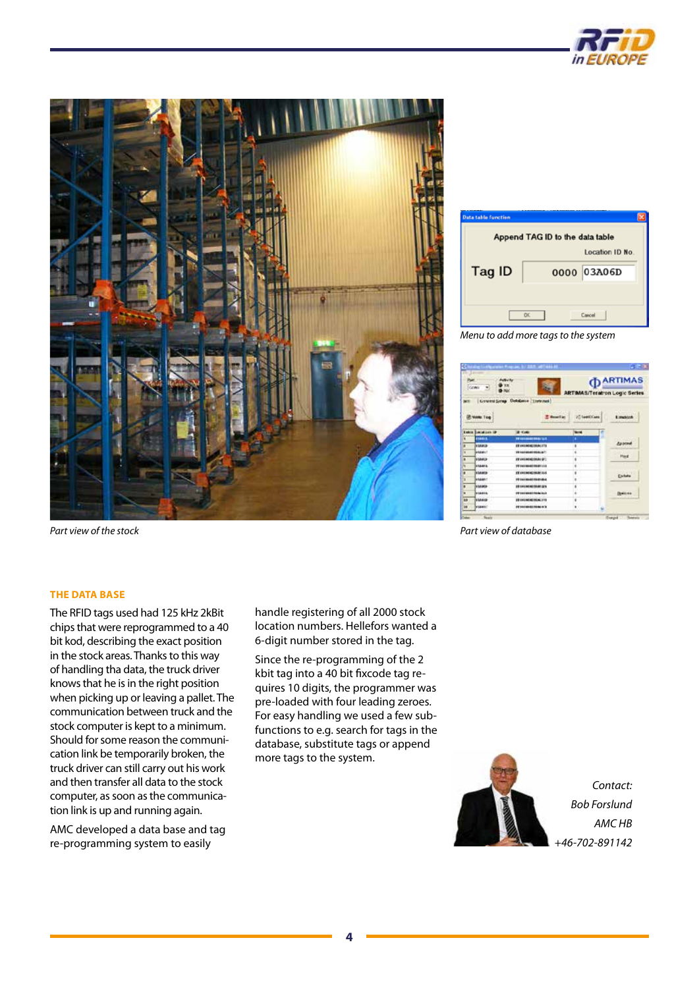



*Part view of the stock*

Append TAG ID to the data table Location ID No. Tag ID 0000 03A06D Cancel

*Menu to add more tags to the system*

| Pat.<br><b>PARTIES</b><br>Cowy<br><b>FRAC</b> |                             |                                                | <b>PARTIMAS</b><br><b>ARTIMAS/Teratron Logic Series</b> |                 |
|-----------------------------------------------|-----------------------------|------------------------------------------------|---------------------------------------------------------|-----------------|
|                                               | <b>Vinto Tog</b>            | Governi Selep Detabase [Threnwa)<br>T Headlier | 20 Taxetti Cana                                         | <b>Emanuel</b>  |
|                                               | <b>Lakes Danisland Or 1</b> | <b>Window</b>                                  | <b>World</b>                                            |                 |
| ×                                             | <b>FIRSTS</b>               | <b>TRANSMITTED 147</b>                         | ٠                                                       |                 |
| a                                             | <b>NAME</b>                 | <b>ST CHUBERDONN: FTG</b>                      | ۱                                                       | Asocial         |
| ٠                                             | <b>MARKET</b>               | <b>VE-SAILENADE REIGLA/T</b>                   | ı                                                       | PHE             |
| ×                                             | <b>MANUF</b>                | <b>EX-DESIGNED DRUG CAT.</b>                   | a<br>٠                                                  |                 |
| w                                             | <b>HAMIL</b>                | FE Asicidade Redevenia                         | ø                                                       |                 |
| ٠                                             | NAMES                       | <b>EX CHUMCHAIN 215</b>                        | ı                                                       | Enhan           |
| ı                                             | <b>HARMAT</b>               | <b>TV-hair-doubl-four-double</b>               | ł                                                       |                 |
| ٠                                             | <b>NAMES</b>                | <b>IR INVESTIGATION</b>                        | 8                                                       |                 |
| ٠                                             | <b>HIGHER</b>               | <b>FF-141-00-01-90-01 Exit</b>                 | ś                                                       | <b>Distance</b> |
| m                                             | <b>NAMES</b>                | <b>ED ENGINEERING 200</b>                      | ı                                                       |                 |
|                                               |                             |                                                |                                                         |                 |

*Part view of database*

### **THE DATA BASE**

The RFID tags used had 125 kHz 2kBit chips that were reprogrammed to a 40 bit kod, describing the exact position in the stock areas. Thanks to this way of handling tha data, the truck driver knows that he is in the right position when picking up or leaving a pallet. The communication between truck and the stock computer is kept to a minimum. Should for some reason the communication link be temporarily broken, the truck driver can still carry out his work and then transfer all data to the stock computer, as soon as the communication link is up and running again.

AMC developed a data base and tag re-programming system to easily

handle registering of all 2000 stock location numbers. Hellefors wanted a 6-digit number stored in the tag.

Since the re-programming of the 2 kbit tag into a 40 bit fixcode tag requires 10 digits, the programmer was pre-loaded with four leading zeroes. For easy handling we used a few subfunctions to e.g. search for tags in the database, substitute tags or append more tags to the system.

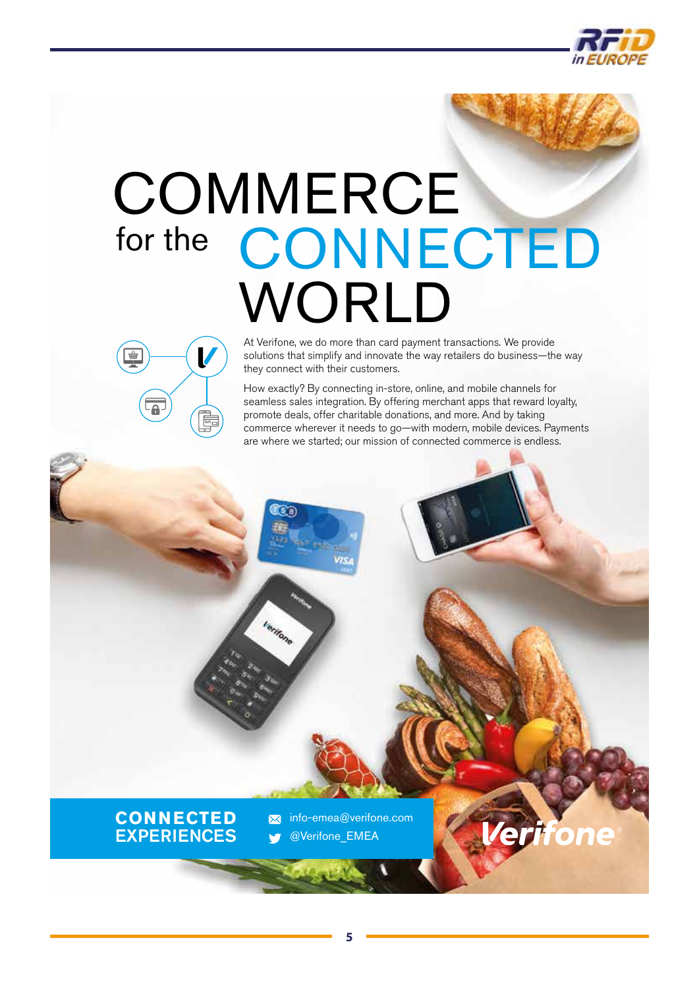

# **COMMERCE** for the [CONNECTED](http://www.verifone.com) WORLD



At Verifone, we do more than card payment transactions. We provide solutions that simplify and innovate the way retailers do business—the way they connect with their customers.

How exactly? By connecting in-store, online, and mobile channels for seamless sales integration. By offering merchant apps that reward loyalty, promote deals, offer charitable donations, and more. And by taking commerce wherever it needs to go—with modern, mobile devices. Payments are where we started; our mission of connected commerce is endless.



info-emea@verifone.com  $\overline{\mathbf{M}}$ @Verifone\_EMEA

ি উক্

erifone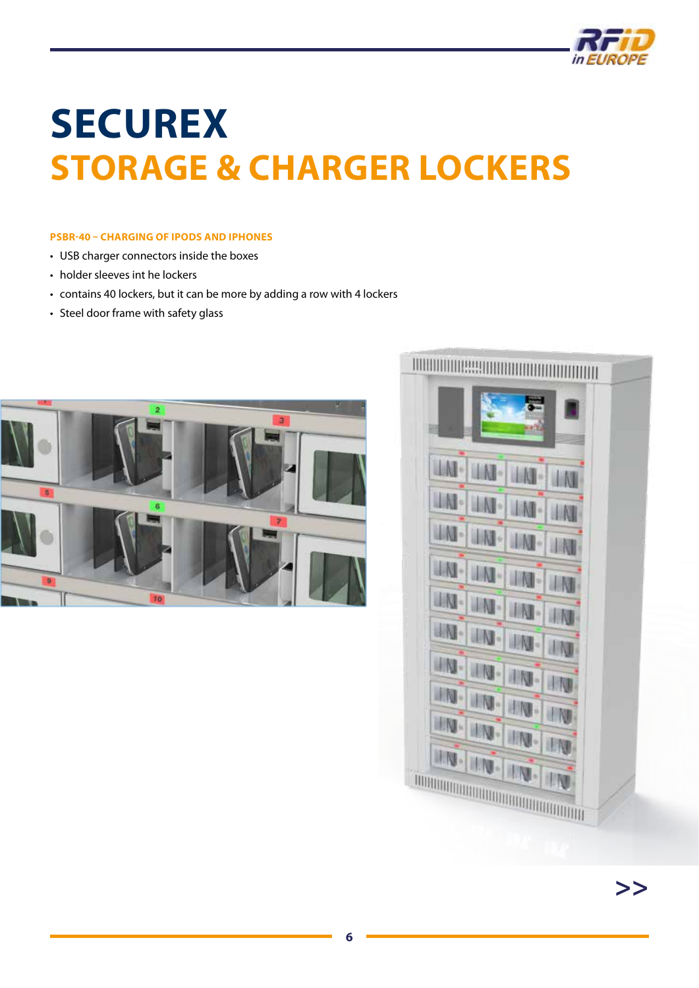

# <span id="page-5-0"></span>**SECUREX STORAGE & CHARGER LOCKERS**

## **PSBR-40 – CHARGING OF IPODS AND IPHONES**

- USB charger connectors inside the boxes
- holder sleeves int he lockers
- contains 40 lockers, but it can be more by adding a row with 4 lockers
- Steel door frame with safety glass



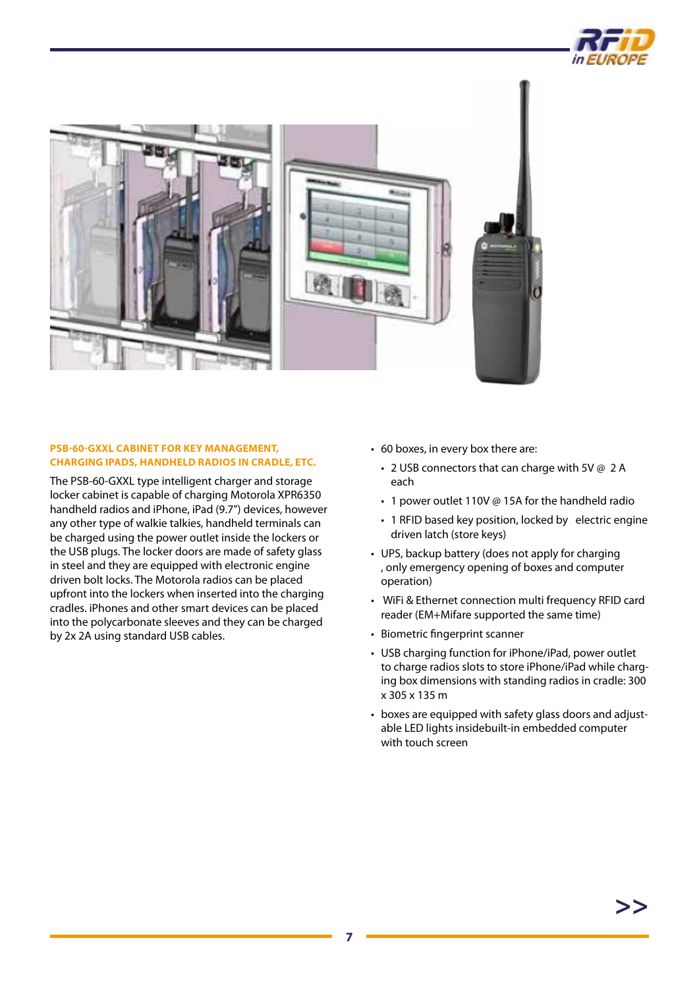



### **PSB-60-GXXL CABINET FOR KEY MANAGEMENT, CHARGING IPADS, HANDHELD RADIOS IN CRADLE, ETC.**

The PSB-60-GXXL type intelligent charger and storage locker cabinet is capable of charging Motorola XPR6350 handheld radios and iPhone, iPad (9.7") devices, however any other type of walkie talkies, handheld terminals can be charged using the power outlet inside the lockers or the USB plugs. The locker doors are made of safety glass in steel and they are equipped with electronic engine driven bolt locks. The Motorola radios can be placed upfront into the lockers when inserted into the charging cradles. iPhones and other smart devices can be placed into the polycarbonate sleeves and they can be charged by 2x 2A using standard USB cables.

- 60 boxes, in every box there are:
	- 2 USB connectors that can charge with 5V @ 2 A each
	- 1 power outlet 110V @ 15A for the handheld radio
	- 1 RFID based key position, locked by electric engine driven latch (store keys)
- UPS, backup battery (does not apply for charging , only emergency opening of boxes and computer operation)
- WiFi & Ethernet connection multi frequency RFID card reader (EM+Mifare supported the same time)
- Biometric fingerprint scanner
- USB charging function for iPhone/iPad, power outlet to charge radios slots to store iPhone/iPad while charging box dimensions with standing radios in cradle: 300 x 305 x 135 m
- boxes are equipped with safety glass doors and adjustable LED lights insidebuilt-in embedded computer with touch screen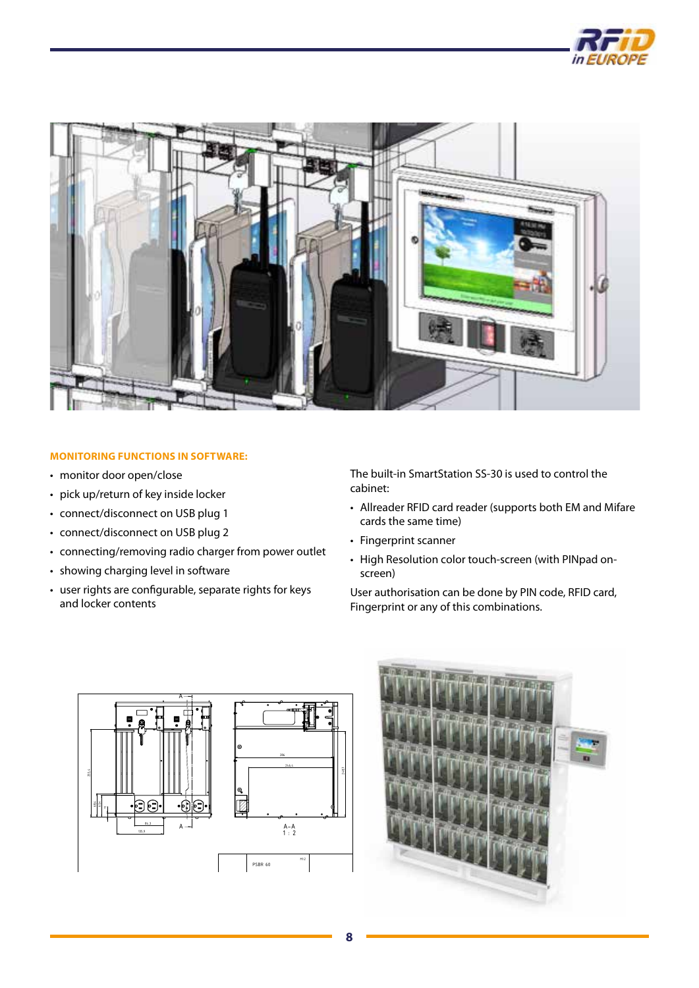



## **MONITORING FUNCTIONS IN SOFTWARE:**

- monitor door open/close
- pick up/return of key inside locker
- connect/disconnect on USB plug 1
- connect/disconnect on USB plug 2
- connecting/removing radio charger from power outlet
- showing charging level in software
- user rights are configurable, separate rights for keys and locker contents

The built-in SmartStation SS-30 is used to control the cabinet:

- Allreader RFID card reader (supports both EM and Mifare cards the same time)
- Fingerprint scanner
- High Resolution color touch-screen (with PINpad onscreen)

User authorisation can be done by PIN code, RFID card, Fingerprint or any of this combinations.



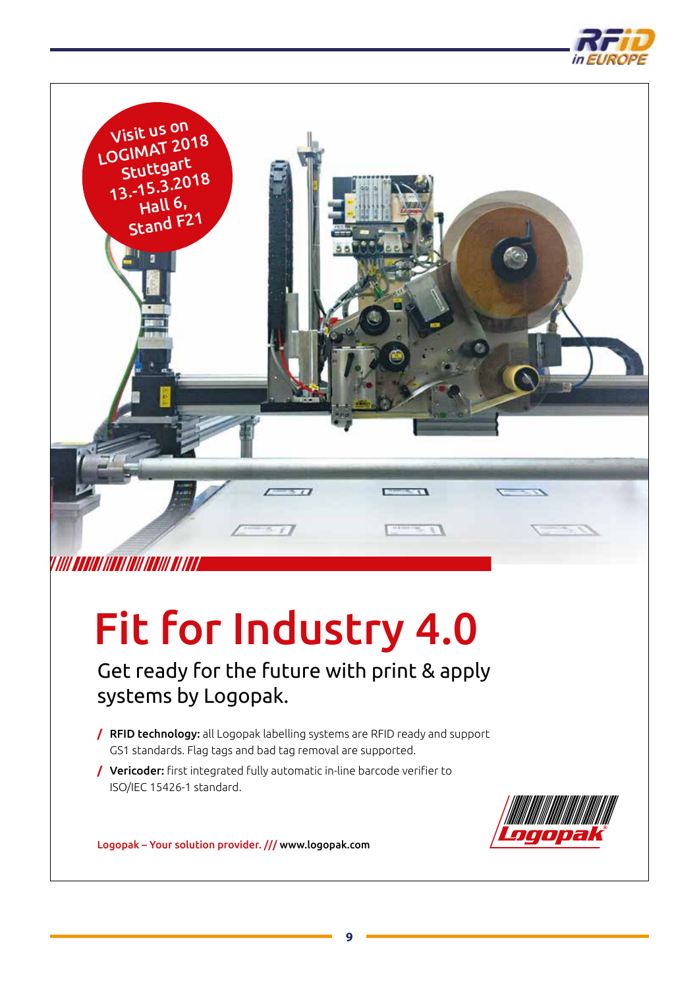



# V*IIII KEKIKI IIKKI IKII IKKII KI IKK*I

# [Fit for Industry 4.0](http://www.logopak.com)

Get ready for the future with print & apply systems by Logopak.

- **/** RFID technology: all Logopak labelling systems are RFID ready and support GS1 standards. Flag tags and bad tag removal are supported.
- **/** Vericoder: first integrated fully automatic in-line barcode verifier to ISO/IEC 15426-1 standard.



Logopak – Your solution provider. /// www.logopak.com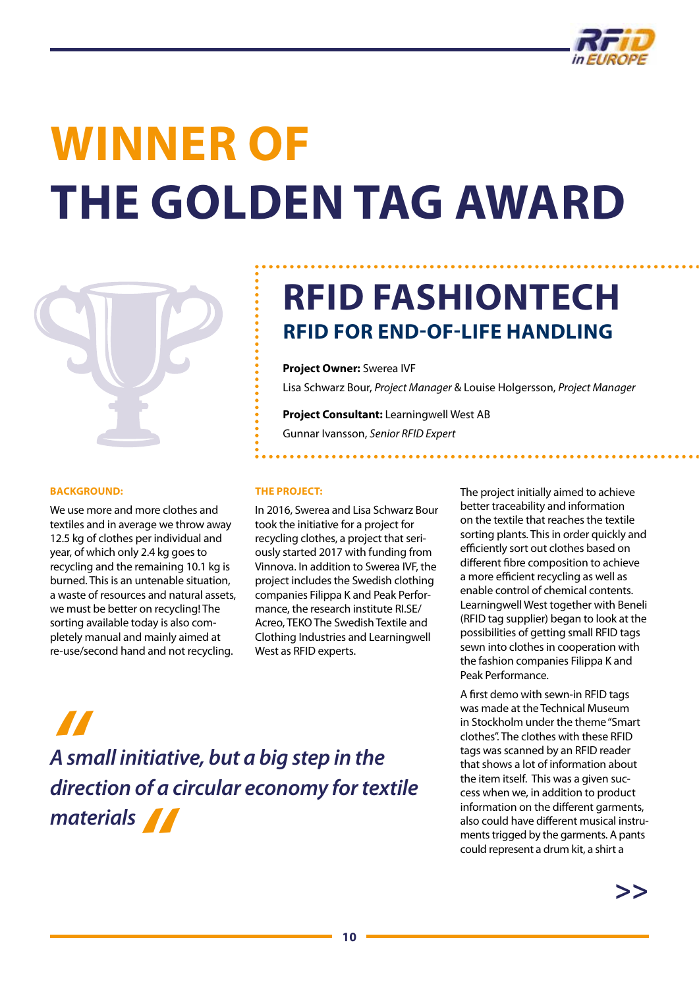

# **WINNER OF THE GOLDEN TAG AWARD**



#### **BACKGROUND:**

We use more and more clothes and textiles and in average we throw away 12.5 kg of clothes per individual and year, of which only 2.4 kg goes to recycling and the remaining 10.1 kg is burned. This is an untenable situation, a waste of resources and natural assets, we must be better on recycling! The sorting available today is also completely manual and mainly aimed at re-use/second hand and not recycling.

# **RFID FASHIONTECH RFID FOR END-OF-LIFE HANDLING**

**Project Owner:** Swerea IVF

Lisa Schwarz Bour, *Project Manager* & Louise Holgersson, *Project Manager*

**Project Consultant:** Learningwell West AB Gunnar Ivansson, *Senior RFID Expert*

#### **THE PROJECT:**

In 2016, Swerea and Lisa Schwarz Bour took the initiative for a project for recycling clothes, a project that seriously started 2017 with funding from Vinnova. In addition to Swerea IVF, the project includes the Swedish clothing companies Filippa K and Peak Performance, the research institute RI.SE/ Acreo, TEKO The Swedish Textile and Clothing Industries and Learningwell West as RFID experts.

The project initially aimed to achieve better traceability and information on the textile that reaches the textile sorting plants. This in order quickly and efficiently sort out clothes based on different fibre composition to achieve a more efficient recycling as well as enable control of chemical contents. Learningwell West together with Beneli (RFID tag supplier) began to look at the possibilities of getting small RFID tags sewn into clothes in cooperation with the fashion companies Filippa K and Peak Performance.

A first demo with sewn-in RFID tags was made at the Technical Museum in Stockholm under the theme "Smart clothes". The clothes with these RFID tags was scanned by an RFID reader that shows a lot of information about the item itself. This was a given success when we, in addition to product information on the different garments, also could have different musical instruments trigged by the garments. A pants could represent a drum kit, a shirt a

**>>**

*A*<br>*A sm*<br>*dired A small initiative, but a big step in the direction of a circular economy for textile materials"*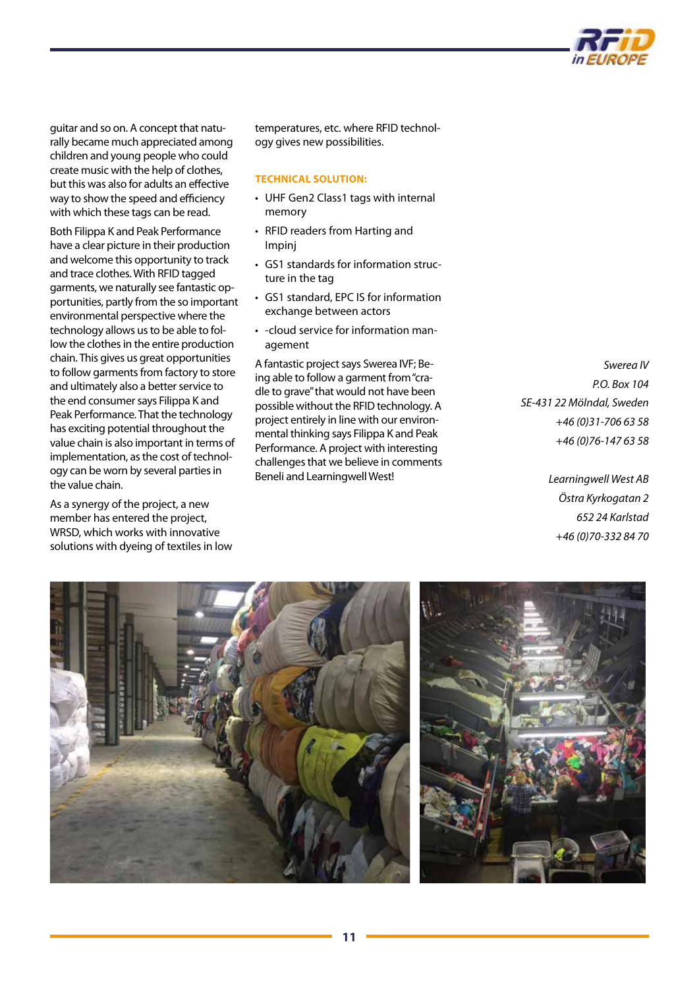

guitar and so on. A concept that naturally became much appreciated among children and young people who could create music with the help of clothes, but this was also for adults an effective way to show the speed and efficiency with which these tags can be read.

Both Filippa K and Peak Performance have a clear picture in their production and welcome this opportunity to track and trace clothes. With RFID tagged garments, we naturally see fantastic opportunities, partly from the so important environmental perspective where the technology allows us to be able to follow the clothes in the entire production chain. This gives us great opportunities to follow garments from factory to store and ultimately also a better service to the end consumer says Filippa K and Peak Performance. That the technology has exciting potential throughout the value chain is also important in terms of implementation, as the cost of technology can be worn by several parties in the value chain.

As a synergy of the project, a new member has entered the project, WRSD, which works with innovative solutions with dyeing of textiles in low

temperatures, etc. where RFID technology gives new possibilities.

#### **TECHNICAL SOLUTION:**

- UHF Gen2 Class1 tags with internal memory
- RFID readers from Harting and Impinj
- GS1 standards for information structure in the tag
- GS1 standard, EPC IS for information exchange between actors
- -cloud service for information management

A fantastic project says Swerea IVF; Being able to follow a garment from "cradle to grave" that would not have been possible without the RFID technology. A project entirely in line with our environmental thinking says Filippa K and Peak Performance. A project with interesting challenges that we believe in comments Beneli and Learningwell West!

*Swerea IV P.O. Box 104 SE-431 22 Mölndal, Sweden +46 (0)31-706 63 58 +46 (0)76-147 63 58*

> *Learningwell West AB Östra Kyrkogatan 2 652 24 Karlstad +46 (0)70-332 84 70*